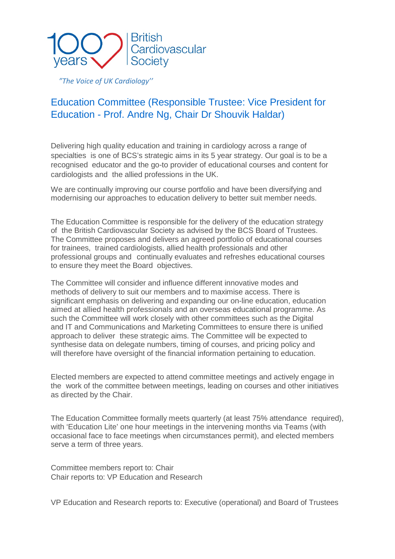

*"The Voice of UK Cardiology''*

## Education Committee (Responsible Trustee: Vice President for Education - Prof. Andre Ng, Chair Dr Shouvik Haldar)

Delivering high quality education and training in cardiology across a range of specialties is one of BCS's strategic aims in its 5 year strategy. Our goal is to be a recognised educator and the go-to provider of educational courses and content for cardiologists and the allied professions in the UK.

We are continually improving our course portfolio and have been diversifying and modernising our approaches to education delivery to better suit member needs.

The Education Committee is responsible for the delivery of the education strategy of the British Cardiovascular Society as advised by the BCS Board of Trustees. The Committee proposes and delivers an agreed portfolio of educational courses for trainees, trained cardiologists, allied health professionals and other professional groups and continually evaluates and refreshes educational courses to ensure they meet the Board objectives.

The Committee will consider and influence different innovative modes and methods of delivery to suit our members and to maximise access. There is significant emphasis on delivering and expanding our on-line education, education aimed at allied health professionals and an overseas educational programme. As such the Committee will work closely with other committees such as the Digital and IT and Communications and Marketing Committees to ensure there is unified approach to deliver these strategic aims. The Committee will be expected to synthesise data on delegate numbers, timing of courses, and pricing policy and will therefore have oversight of the financial information pertaining to education.

Elected members are expected to attend committee meetings and actively engage in the work of the committee between meetings, leading on courses and other initiatives as directed by the Chair.

The Education Committee formally meets quarterly (at least 75% attendance required), with 'Education Lite' one hour meetings in the intervening months via Teams (with occasional face to face meetings when circumstances permit), and elected members serve a term of three years.

Committee members report to: Chair Chair reports to: VP Education and Research

VP Education and Research reports to: Executive (operational) and Board of Trustees